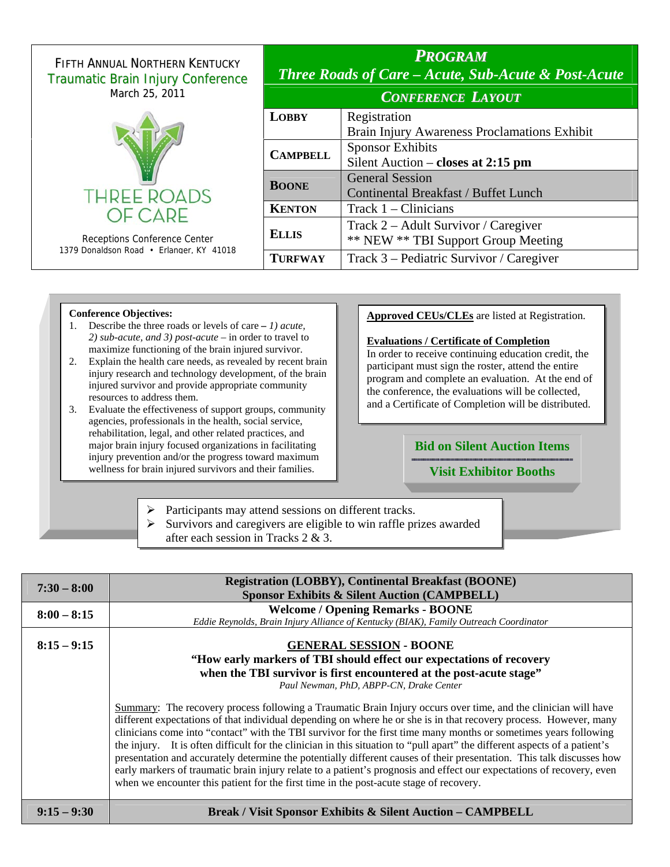| <b>FIFTH ANNUAL NORTHERN KENTUCKY</b><br><b>Traumatic Brain Injury Conference</b> | <b>PROGRAM</b><br><b>Three Roads of Care - Acute, Sub-Acute &amp; Post-Acute</b> |                                              |  |
|-----------------------------------------------------------------------------------|----------------------------------------------------------------------------------|----------------------------------------------|--|
| March 25, 2011                                                                    | <b>CONFERENCE LAYOUT</b>                                                         |                                              |  |
|                                                                                   | <b>LOBBY</b>                                                                     | Registration                                 |  |
|                                                                                   |                                                                                  | Brain Injury Awareness Proclamations Exhibit |  |
|                                                                                   | <b>CAMPBELL</b>                                                                  | <b>Sponsor Exhibits</b>                      |  |
|                                                                                   |                                                                                  | Silent Auction – closes at $2:15$ pm         |  |
|                                                                                   |                                                                                  | <b>General Session</b>                       |  |
| <b>THREE ROADS</b>                                                                | <b>BOONE</b>                                                                     | Continental Breakfast / Buffet Lunch         |  |
| OF CARE                                                                           | <b>KENTON</b>                                                                    | Track $1$ – Clinicians                       |  |
| Receptions Conference Center<br>1379 Donaldson Road • Erlanger, KY 41018          | <b>ELLIS</b>                                                                     | Track 2 – Adult Survivor / Caregiver         |  |
|                                                                                   |                                                                                  | ** NEW ** TBI Support Group Meeting          |  |
|                                                                                   | <b>TURFWAY</b>                                                                   | Track 3 – Pediatric Survivor / Caregiver     |  |
|                                                                                   |                                                                                  |                                              |  |

#### **Conference Objectives:**

- 1. Describe the three roads or levels of care  *1) acute, 2) sub-acute, and 3) post-acute* – in order to travel to maximize functioning of the brain injured survivor.
- 2. Explain the health care needs, as revealed by recent brain injury research and technology development, of the brain injured survivor and provide appropriate community resources to address them.
- 3. Evaluate the effectiveness of support groups, community agencies, professionals in the health, social service, rehabilitation, legal, and other related practices, and major brain injury focused organizations in facilitating injury prevention and/or the progress toward maximum wellness for brain injured survivors and their families.

### **Approved CEUs/CLEs** are listed at Registration.

#### **Evaluations / Certificate of Completion**

In order to receive continuing education credit, the participant must sign the roster, attend the entire program and complete an evaluation. At the end of the conference, the evaluations will be collected, and a Certificate of Completion will be distributed.

### **Bid on Silent Auction Items**

### **Visit Exhibitor Booths**

¾ Participants may attend sessions on different tracks.

 $\triangleright$  Survivors and caregivers are eligible to win raffle prizes awarded after each session in Tracks 2 & 3.

| $7:30 - 8:00$ | <b>Registration (LOBBY), Continental Breakfast (BOONE)</b><br><b>Sponsor Exhibits &amp; Silent Auction (CAMPBELL)</b>                                                                                                                                                                                                                                                                                                                                                                                                                                                                                                                                                                                                                                                                                                             |  |  |
|---------------|-----------------------------------------------------------------------------------------------------------------------------------------------------------------------------------------------------------------------------------------------------------------------------------------------------------------------------------------------------------------------------------------------------------------------------------------------------------------------------------------------------------------------------------------------------------------------------------------------------------------------------------------------------------------------------------------------------------------------------------------------------------------------------------------------------------------------------------|--|--|
| $8:00 - 8:15$ | <b>Welcome / Opening Remarks - BOONE</b><br>Eddie Reynolds, Brain Injury Alliance of Kentucky (BIAK), Family Outreach Coordinator                                                                                                                                                                                                                                                                                                                                                                                                                                                                                                                                                                                                                                                                                                 |  |  |
| $8:15 - 9:15$ | <b>GENERAL SESSION - BOONE</b><br>"How early markers of TBI should effect our expectations of recovery<br>when the TBI survivor is first encountered at the post-acute stage"<br>Paul Newman, PhD, ABPP-CN, Drake Center                                                                                                                                                                                                                                                                                                                                                                                                                                                                                                                                                                                                          |  |  |
|               | Summary: The recovery process following a Traumatic Brain Injury occurs over time, and the clinician will have<br>different expectations of that individual depending on where he or she is in that recovery process. However, many<br>clinicians come into "contact" with the TBI survivor for the first time many months or sometimes years following<br>the injury. It is often difficult for the clinician in this situation to "pull apart" the different aspects of a patient's<br>presentation and accurately determine the potentially different causes of their presentation. This talk discusses how<br>early markers of traumatic brain injury relate to a patient's prognosis and effect our expectations of recovery, even<br>when we encounter this patient for the first time in the post-acute stage of recovery. |  |  |
| $9:15 - 9:30$ | <b>Break / Visit Sponsor Exhibits &amp; Silent Auction – CAMPBELL</b>                                                                                                                                                                                                                                                                                                                                                                                                                                                                                                                                                                                                                                                                                                                                                             |  |  |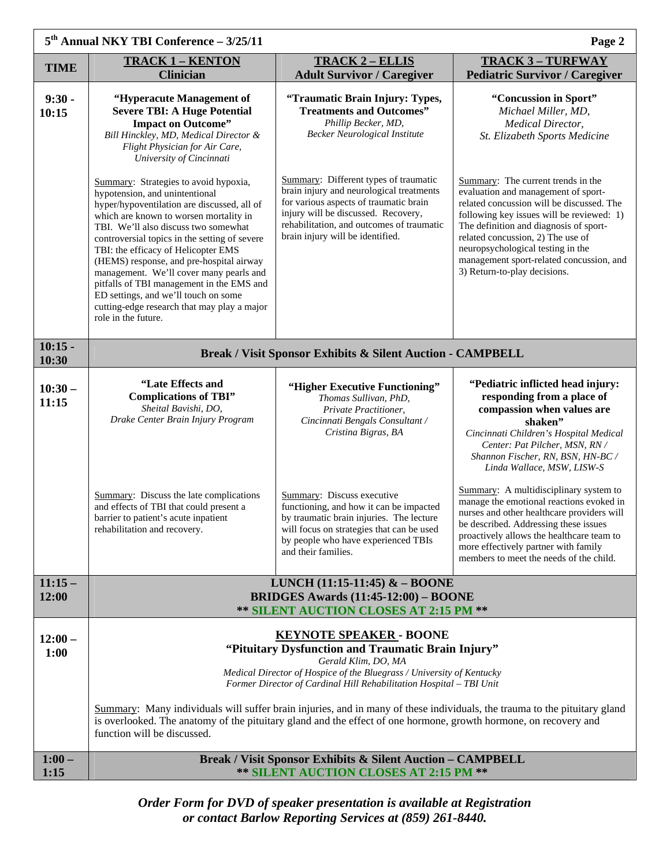| $5th$ Annual NKY TBI Conference $-3/25/11$<br>Page 2 |                                                                                                                                                                                                                                                                                                                                                                                                                                                                                                                                                    |                                                                                                                                                                                                                                                     |                                                                                                                                                                                                                                                                                                                                                                     |  |  |  |
|------------------------------------------------------|----------------------------------------------------------------------------------------------------------------------------------------------------------------------------------------------------------------------------------------------------------------------------------------------------------------------------------------------------------------------------------------------------------------------------------------------------------------------------------------------------------------------------------------------------|-----------------------------------------------------------------------------------------------------------------------------------------------------------------------------------------------------------------------------------------------------|---------------------------------------------------------------------------------------------------------------------------------------------------------------------------------------------------------------------------------------------------------------------------------------------------------------------------------------------------------------------|--|--|--|
| <b>TIME</b>                                          | <b>TRACK 1 - KENTON</b>                                                                                                                                                                                                                                                                                                                                                                                                                                                                                                                            | <b>TRACK 2 - ELLIS</b>                                                                                                                                                                                                                              | <b>TRACK 3-TURFWAY</b>                                                                                                                                                                                                                                                                                                                                              |  |  |  |
| $9:30 -$<br>10:15                                    | <b>Clinician</b><br>"Hyperacute Management of<br><b>Severe TBI: A Huge Potential</b><br><b>Impact on Outcome"</b><br>Bill Hinckley, MD, Medical Director &<br>Flight Physician for Air Care,<br>University of Cincinnati                                                                                                                                                                                                                                                                                                                           | <b>Adult Survivor / Caregiver</b><br>"Traumatic Brain Injury: Types,<br><b>Treatments and Outcomes"</b><br>Phillip Becker, MD,<br><b>Becker Neurological Institute</b>                                                                              | <b>Pediatric Survivor / Caregiver</b><br>"Concussion in Sport"<br>Michael Miller, MD,<br><b>Medical Director,</b><br>St. Elizabeth Sports Medicine                                                                                                                                                                                                                  |  |  |  |
|                                                      | Summary: Strategies to avoid hypoxia,<br>hypotension, and unintentional<br>hyper/hypoventilation are discussed, all of<br>which are known to worsen mortality in<br>TBI. We'll also discuss two somewhat<br>controversial topics in the setting of severe<br>TBI: the efficacy of Helicopter EMS<br>(HEMS) response, and pre-hospital airway<br>management. We'll cover many pearls and<br>pitfalls of TBI management in the EMS and<br>ED settings, and we'll touch on some<br>cutting-edge research that may play a major<br>role in the future. | Summary: Different types of traumatic<br>brain injury and neurological treatments<br>for various aspects of traumatic brain<br>injury will be discussed. Recovery,<br>rehabilitation, and outcomes of traumatic<br>brain injury will be identified. | Summary: The current trends in the<br>evaluation and management of sport-<br>related concussion will be discussed. The<br>following key issues will be reviewed: 1)<br>The definition and diagnosis of sport-<br>related concussion, 2) The use of<br>neuropsychological testing in the<br>management sport-related concussion, and<br>3) Return-to-play decisions. |  |  |  |
| $10:15 -$<br>10:30                                   |                                                                                                                                                                                                                                                                                                                                                                                                                                                                                                                                                    | <b>Break / Visit Sponsor Exhibits &amp; Silent Auction - CAMPBELL</b>                                                                                                                                                                               |                                                                                                                                                                                                                                                                                                                                                                     |  |  |  |
| $10:30-$<br>11:15                                    | "Late Effects and<br><b>Complications of TBI"</b><br>Sheital Bavishi, DO,<br>Drake Center Brain Injury Program                                                                                                                                                                                                                                                                                                                                                                                                                                     | "Higher Executive Functioning"<br>Thomas Sullivan, PhD,<br>Private Practitioner,<br>Cincinnati Bengals Consultant /<br>Cristina Bigras, BA                                                                                                          | "Pediatric inflicted head injury:<br>responding from a place of<br>compassion when values are<br>shaken"<br>Cincinnati Children's Hospital Medical<br>Center: Pat Pilcher, MSN, RN /<br>Shannon Fischer, RN, BSN, HN-BC /<br>Linda Wallace, MSW, LISW-S                                                                                                             |  |  |  |
|                                                      | Summary: Discuss the late complications<br>and effects of TBI that could present a<br>barrier to patient's acute inpatient<br>rehabilitation and recovery.                                                                                                                                                                                                                                                                                                                                                                                         | <b>Summary:</b> Discuss executive<br>functioning, and how it can be impacted<br>by traumatic brain injuries. The lecture<br>will focus on strategies that can be used<br>by people who have experienced TBIs<br>and their families.                 | Summary: A multidisciplinary system to<br>manage the emotional reactions evoked in<br>nurses and other healthcare providers will<br>be described. Addressing these issues<br>proactively allows the healthcare team to<br>more effectively partner with family<br>members to meet the needs of the child.                                                           |  |  |  |
| $11:15-$<br>12:00                                    | LUNCH $(11:15-11:45)$ & - BOONE<br><b>BRIDGES Awards (11:45-12:00) – BOONE</b><br>** SILENT AUCTION CLOSES AT 2:15 PM **                                                                                                                                                                                                                                                                                                                                                                                                                           |                                                                                                                                                                                                                                                     |                                                                                                                                                                                                                                                                                                                                                                     |  |  |  |
| $12:00 -$<br>1:00                                    | <b>KEYNOTE SPEAKER - BOONE</b><br>"Pituitary Dysfunction and Traumatic Brain Injury"<br>Gerald Klim, DO, MA<br>Medical Director of Hospice of the Bluegrass / University of Kentucky<br>Former Director of Cardinal Hill Rehabilitation Hospital - TBI Unit<br>Summary: Many individuals will suffer brain injuries, and in many of these individuals, the trauma to the pituitary gland                                                                                                                                                           |                                                                                                                                                                                                                                                     |                                                                                                                                                                                                                                                                                                                                                                     |  |  |  |
|                                                      | is overlooked. The anatomy of the pituitary gland and the effect of one hormone, growth hormone, on recovery and<br>function will be discussed.                                                                                                                                                                                                                                                                                                                                                                                                    |                                                                                                                                                                                                                                                     |                                                                                                                                                                                                                                                                                                                                                                     |  |  |  |
| $1:00 -$<br>1:15                                     | <b>Break / Visit Sponsor Exhibits &amp; Silent Auction - CAMPBELL</b><br>** SILENT AUCTION CLOSES AT 2:15 PM **                                                                                                                                                                                                                                                                                                                                                                                                                                    |                                                                                                                                                                                                                                                     |                                                                                                                                                                                                                                                                                                                                                                     |  |  |  |

*Order Form for DVD of speaker presentation is available at Registration or contact Barlow Reporting Services at (859) 261-8440.*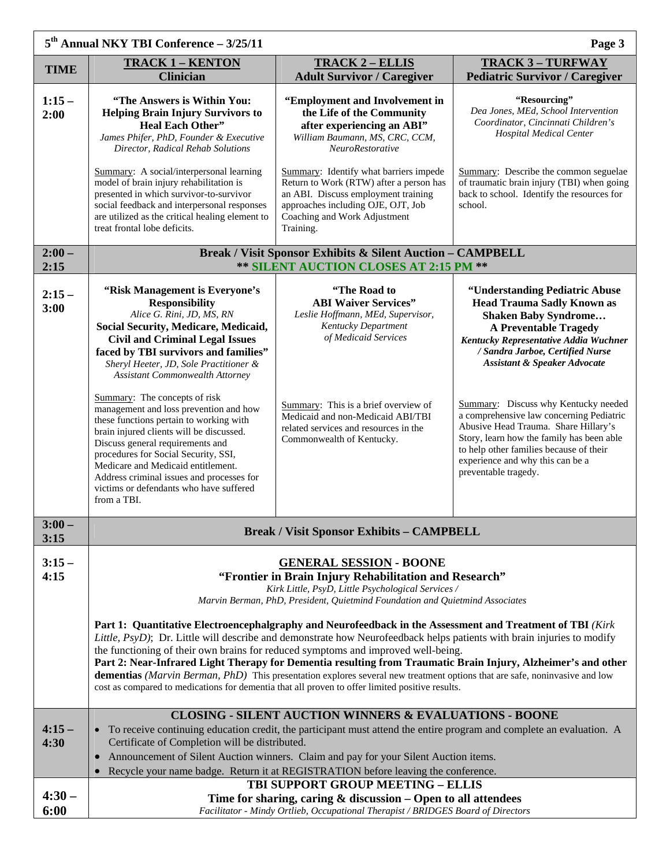| 5 <sup>th</sup> Annual NKY TBI Conference - 3/25/11<br>Page 3 |                                                                                                                                                                                                                                                                                                                                                                                                                                                                                                                                                                                                                                                                                               |                                                                                                                                                                                                                                                                                    |                                                                                                                                                                                                                                                                                                                                                                                                                                                                                                                                            |  |  |  |
|---------------------------------------------------------------|-----------------------------------------------------------------------------------------------------------------------------------------------------------------------------------------------------------------------------------------------------------------------------------------------------------------------------------------------------------------------------------------------------------------------------------------------------------------------------------------------------------------------------------------------------------------------------------------------------------------------------------------------------------------------------------------------|------------------------------------------------------------------------------------------------------------------------------------------------------------------------------------------------------------------------------------------------------------------------------------|--------------------------------------------------------------------------------------------------------------------------------------------------------------------------------------------------------------------------------------------------------------------------------------------------------------------------------------------------------------------------------------------------------------------------------------------------------------------------------------------------------------------------------------------|--|--|--|
| <b>TIME</b>                                                   | <b>TRACK 1 - KENTON</b><br><b>Clinician</b>                                                                                                                                                                                                                                                                                                                                                                                                                                                                                                                                                                                                                                                   | <b>TRACK 2 - ELLIS</b><br><b>Adult Survivor / Caregiver</b>                                                                                                                                                                                                                        | <b>TRACK 3-TURFWAY</b><br><b>Pediatric Survivor / Caregiver</b>                                                                                                                                                                                                                                                                                                                                                                                                                                                                            |  |  |  |
| $1:15-$<br>2:00                                               | "The Answers is Within You:<br><b>Helping Brain Injury Survivors to</b><br><b>Heal Each Other"</b><br>James Phifer, PhD, Founder & Executive<br>Director, Radical Rehab Solutions                                                                                                                                                                                                                                                                                                                                                                                                                                                                                                             | "Employment and Involvement in<br>the Life of the Community<br>after experiencing an ABI"<br>William Baumann, MS, CRC, CCM,<br><b>NeuroRestorative</b>                                                                                                                             | "Resourcing"<br>Dea Jones, MEd, School Intervention<br>Coordinator, Cincinnati Children's<br><b>Hospital Medical Center</b>                                                                                                                                                                                                                                                                                                                                                                                                                |  |  |  |
|                                                               | Summary: A social/interpersonal learning<br>model of brain injury rehabilitation is<br>presented in which survivor-to-survivor<br>social feedback and interpersonal responses<br>are utilized as the critical healing element to<br>treat frontal lobe deficits.                                                                                                                                                                                                                                                                                                                                                                                                                              | Summary: Identify what barriers impede<br>Return to Work (RTW) after a person has<br>an ABI. Discuss employment training<br>approaches including OJE, OJT, Job<br>Coaching and Work Adjustment<br>Training.                                                                        | Summary: Describe the common seguelae<br>of traumatic brain injury (TBI) when going<br>back to school. Identify the resources for<br>school.                                                                                                                                                                                                                                                                                                                                                                                               |  |  |  |
| $2:00 -$<br>2:15                                              | <b>Break / Visit Sponsor Exhibits &amp; Silent Auction - CAMPBELL</b><br>** SILENT AUCTION CLOSES AT 2:15 PM **                                                                                                                                                                                                                                                                                                                                                                                                                                                                                                                                                                               |                                                                                                                                                                                                                                                                                    |                                                                                                                                                                                                                                                                                                                                                                                                                                                                                                                                            |  |  |  |
| $2:15-$<br>3:00                                               | "Risk Management is Everyone's<br><b>Responsibility</b><br>Alice G. Rini, JD, MS, RN<br>Social Security, Medicare, Medicaid,<br><b>Civil and Criminal Legal Issues</b><br>faced by TBI survivors and families"<br>Sheryl Heeter, JD, Sole Practitioner &<br><b>Assistant Commonwealth Attorney</b><br>Summary: The concepts of risk<br>management and loss prevention and how<br>these functions pertain to working with<br>brain injured clients will be discussed.<br>Discuss general requirements and<br>procedures for Social Security, SSI,<br>Medicare and Medicaid entitlement.<br>Address criminal issues and processes for<br>victims or defendants who have suffered<br>from a TBI. | "The Road to<br><b>ABI Waiver Services"</b><br>Leslie Hoffmann, MEd, Supervisor,<br>Kentucky Department<br>of Medicaid Services<br>Summary: This is a brief overview of<br>Medicaid and non-Medicaid ABI/TBI<br>related services and resources in the<br>Commonwealth of Kentucky. | "Understanding Pediatric Abuse<br><b>Head Trauma Sadly Known as</b><br><b>Shaken Baby Syndrome</b><br><b>A Preventable Tragedy</b><br>Kentucky Representative Addia Wuchner<br>/ Sandra Jarboe, Certified Nurse<br><b>Assistant &amp; Speaker Advocate</b><br>Summary: Discuss why Kentucky needed<br>a comprehensive law concerning Pediatric<br>Abusive Head Trauma. Share Hillary's<br>Story, learn how the family has been able<br>to help other families because of their<br>experience and why this can be a<br>preventable tragedy. |  |  |  |
| $3:00-$<br>3:15                                               | <b>Break / Visit Sponsor Exhibits - CAMPBELL</b>                                                                                                                                                                                                                                                                                                                                                                                                                                                                                                                                                                                                                                              |                                                                                                                                                                                                                                                                                    |                                                                                                                                                                                                                                                                                                                                                                                                                                                                                                                                            |  |  |  |
| $3:15-$<br>4:15                                               | <b>GENERAL SESSION - BOONE</b><br>"Frontier in Brain Injury Rehabilitation and Research"<br>Kirk Little, PsyD, Little Psychological Services /<br>Marvin Berman, PhD, President, Quietmind Foundation and Quietmind Associates                                                                                                                                                                                                                                                                                                                                                                                                                                                                |                                                                                                                                                                                                                                                                                    |                                                                                                                                                                                                                                                                                                                                                                                                                                                                                                                                            |  |  |  |
|                                                               | Part 1: Quantitative Electroencephalgraphy and Neurofeedback in the Assessment and Treatment of TBI (Kirk<br>Little, PsyD); Dr. Little will describe and demonstrate how Neurofeedback helps patients with brain injuries to modify<br>the functioning of their own brains for reduced symptoms and improved well-being.<br>Part 2: Near-Infrared Light Therapy for Dementia resulting from Traumatic Brain Injury, Alzheimer's and other<br>dementias (Marvin Berman, PhD) This presentation explores several new treatment options that are safe, noninvasive and low<br>cost as compared to medications for dementia that all proven to offer limited positive results.                    |                                                                                                                                                                                                                                                                                    |                                                                                                                                                                                                                                                                                                                                                                                                                                                                                                                                            |  |  |  |
| $4:15-$<br>4:30                                               | <b>CLOSING - SILENT AUCTION WINNERS &amp; EVALUATIONS - BOONE</b><br>• To receive continuing education credit, the participant must attend the entire program and complete an evaluation. A<br>Certificate of Completion will be distributed.<br>Announcement of Silent Auction winners. Claim and pay for your Silent Auction items.                                                                                                                                                                                                                                                                                                                                                         |                                                                                                                                                                                                                                                                                    |                                                                                                                                                                                                                                                                                                                                                                                                                                                                                                                                            |  |  |  |
|                                                               | • Recycle your name badge. Return it at REGISTRATION before leaving the conference.<br>TBI SUPPORT GROUP MEETING - ELLIS                                                                                                                                                                                                                                                                                                                                                                                                                                                                                                                                                                      |                                                                                                                                                                                                                                                                                    |                                                                                                                                                                                                                                                                                                                                                                                                                                                                                                                                            |  |  |  |
| $4:30-$<br>6:00                                               | Time for sharing, caring $&$ discussion $-$ Open to all attendees<br>Facilitator - Mindy Ortlieb, Occupational Therapist / BRIDGES Board of Directors                                                                                                                                                                                                                                                                                                                                                                                                                                                                                                                                         |                                                                                                                                                                                                                                                                                    |                                                                                                                                                                                                                                                                                                                                                                                                                                                                                                                                            |  |  |  |